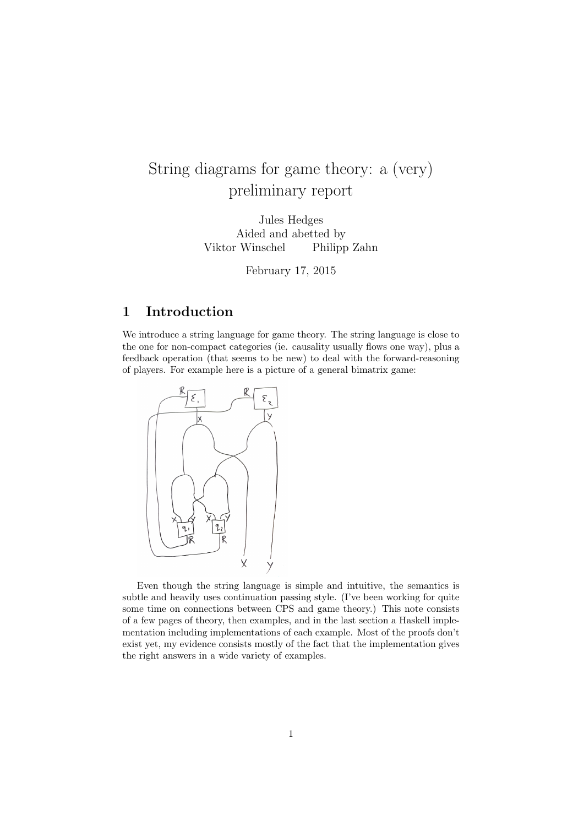# String diagrams for game theory: a (very) preliminary report

Jules Hedges Aided and abetted by Viktor Winschel Philipp Zahn

February 17, 2015

## 1 Introduction

We introduce a string language for game theory. The string language is close to the one for non-compact categories (ie. causality usually flows one way), plus a feedback operation (that seems to be new) to deal with the forward-reasoning of players. For example here is a picture of a general bimatrix game:



Even though the string language is simple and intuitive, the semantics is subtle and heavily uses continuation passing style. (I've been working for quite some time on connections between CPS and game theory.) This note consists of a few pages of theory, then examples, and in the last section a Haskell implementation including implementations of each example. Most of the proofs don't exist yet, my evidence consists mostly of the fact that the implementation gives the right answers in a wide variety of examples.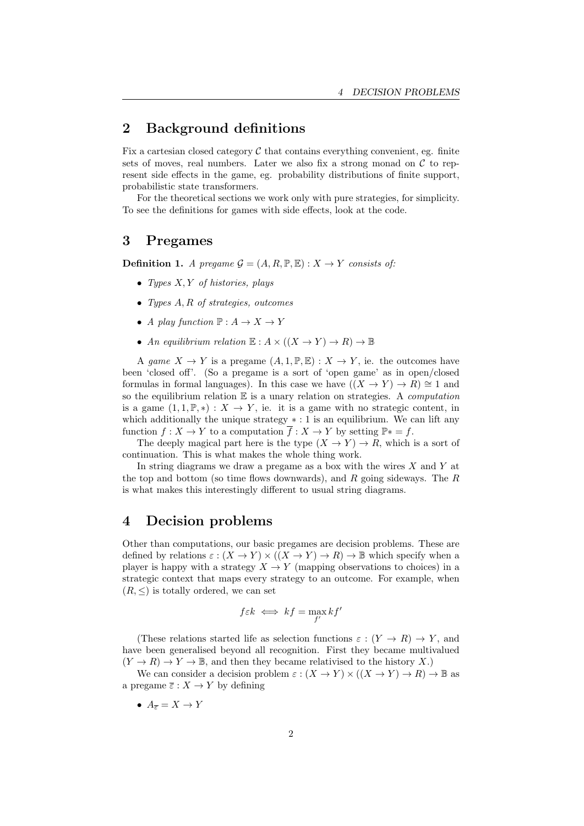#### 2 Background definitions

Fix a cartesian closed category  $\mathcal C$  that contains everything convenient, eg. finite sets of moves, real numbers. Later we also fix a strong monad on  $\mathcal C$  to represent side effects in the game, eg. probability distributions of finite support, probabilistic state transformers.

For the theoretical sections we work only with pure strategies, for simplicity. To see the definitions for games with side effects, look at the code.

#### 3 Pregames

**Definition 1.** A pregame  $G = (A, R, \mathbb{P}, \mathbb{E}) : X \to Y$  consists of:

- Types  $X, Y$  of histories, plays
- Types A, R of strategies, outcomes
- A play function  $\mathbb{P}: A \to X \to Y$
- An equilibrium relation  $\mathbb{E}: A \times ((X \to Y) \to R) \to \mathbb{B}$

A game  $X \to Y$  is a pregame  $(A, 1, \mathbb{P}, \mathbb{E}) : X \to Y$ , ie. the outcomes have been 'closed off'. (So a pregame is a sort of 'open game' as in open/closed formulas in formal languages). In this case we have  $((X \to Y) \to R) \cong 1$  and so the equilibrium relation  $E$  is a unary relation on strategies. A *computation* is a game  $(1, 1, \mathbb{P}, *) : X \to Y$ , ie. it is a game with no strategic content, in which additionally the unique strategy  $* : 1$  is an equilibrium. We can lift any function  $f: X \to Y$  to a computation  $f: X \to Y$  by setting  $\mathbb{P}^* = f$ .

The deeply magical part here is the type  $(X \to Y) \to R$ , which is a sort of continuation. This is what makes the whole thing work.

In string diagrams we draw a pregame as a box with the wires  $X$  and  $Y$  at the top and bottom (so time flows downwards), and  $R$  going sideways. The  $R$ is what makes this interestingly different to usual string diagrams.

#### 4 Decision problems

Other than computations, our basic pregames are decision problems. These are defined by relations  $\varepsilon : (X \to Y) \times ((X \to Y) \to R) \to \mathbb{B}$  which specify when a player is happy with a strategy  $X \to Y$  (mapping observations to choices) in a strategic context that maps every strategy to an outcome. For example, when  $(R, \leq)$  is totally ordered, we can set

$$
f \varepsilon k \iff kf = \max_{f'} kf'
$$

(These relations started life as selection functions  $\varepsilon : (Y \to R) \to Y$ , and have been generalised beyond all recognition. First they became multivalued  $(Y \to R) \to Y \to \mathbb{B}$ , and then they became relativised to the history X.)

We can consider a decision problem  $\varepsilon : (X \to Y) \times ((X \to Y) \to R) \to \mathbb{B}$  as a pregame  $\overline{\varepsilon}: X \to Y$  by defining

•  $A_{\overline{z}} = X \rightarrow Y$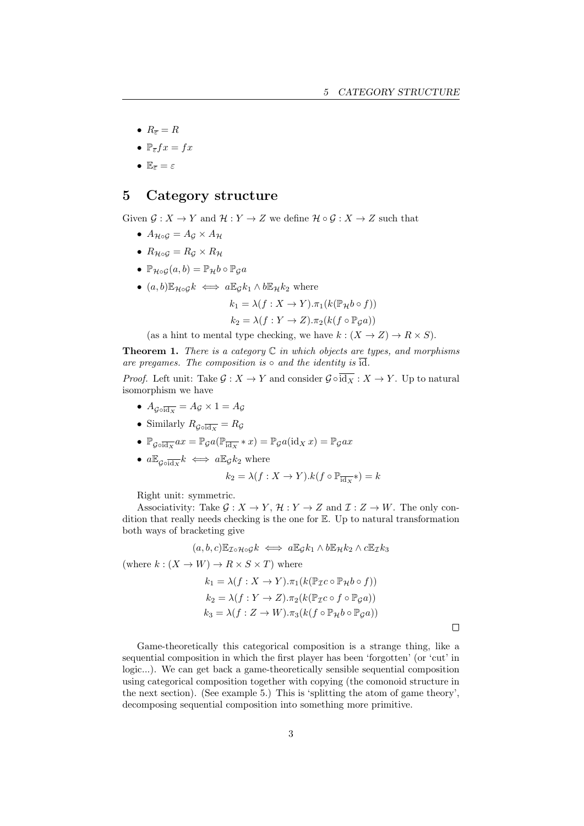- $R_{\overline{e}} = R$
- $\mathbb{P}_{\overline{\epsilon}} f x = f x$
- $\mathbb{E}_{\overline{\varepsilon}} = \varepsilon$

#### 5 Category structure

Given  $\mathcal{G}: X \to Y$  and  $\mathcal{H}: Y \to Z$  we define  $\mathcal{H} \circ \mathcal{G}: X \to Z$  such that

- $A_{H \circ G} = A_G \times A_H$
- $R_{\mathcal{H} \circ \mathcal{G}} = R_{\mathcal{G}} \times R_{\mathcal{H}}$
- $\mathbb{P}_{\mathcal{H}\circ\mathcal{G}}(a,b) = \mathbb{P}_{\mathcal{H}}b \circ \mathbb{P}_{\mathcal{G}}a$
- $(a, b) \mathbb{E}_{\mathcal{H} \circ G} k \iff a \mathbb{E}_{G} k_1 \wedge b \mathbb{E}_{\mathcal{H}} k_2$  where

$$
k_1 = \lambda(f: X \to Y). \pi_1(k(\mathbb{P}_H b \circ f))
$$

$$
k_2 = \lambda(f:Y \to Z).\pi_2(k(f \circ \mathbb{P}_{\mathcal{G}}a))
$$

(as a hint to mental type checking, we have  $k : (X \to Z) \to R \times S$ ).

**Theorem 1.** There is a category  $C$  in which objects are types, and morphisms are pregames. The composition is  $\circ$  and the identity is  $\overline{id}$ .

*Proof.* Left unit: Take  $\mathcal{G}: X \to Y$  and consider  $\mathcal{G} \circ \overline{\text{id}_X} : X \to Y$ . Up to natural isomorphism we have

- $\bullet$   $A_{\mathcal{G}\circ\overline{\mathrm{id}_{X}}} = A_{\mathcal{G}} \times 1 = A_{\mathcal{G}}$
- Similarly  $R_{\mathcal{G}\circ\overline{\text{id}_X}} = R_{\mathcal{G}}$
- $\mathbb{P}_{\mathcal{G}\circ\overline{\text{id}_X}} ax = \mathbb{P}_{\mathcal{G}}a(\mathbb{P}_{\overline{\text{id}_X}} * x) = \mathbb{P}_{\mathcal{G}}a(\text{id}_X x) = \mathbb{P}_{\mathcal{G}}ax$
- $a\mathbb{E}_{\mathcal{G}\circ\overline{\text{id}_X}}k \iff a\mathbb{E}_{\mathcal{G}}k_2$  where

$$
k_2 = \lambda(f: X \to Y).k(f \circ \mathbb{P}_{\overline{\text{id}_X}}*) = k
$$

Right unit: symmetric.

Associativity: Take  $\mathcal{G}: X \to Y, \mathcal{H}: Y \to Z$  and  $\mathcal{I}: Z \to W$ . The only condition that really needs checking is the one for E. Up to natural transformation both ways of bracketing give

$$
(a, b, c) \mathbb{E}_{\mathcal{I} \circ \mathcal{H} \circ \mathcal{G}} k \iff a \mathbb{E}_{\mathcal{G}} k_1 \wedge b \mathbb{E}_{\mathcal{H}} k_2 \wedge c \mathbb{E}_{\mathcal{I}} k_3
$$

(where  $k : (X \to W) \to R \times S \times T$ ) where

$$
k_1 = \lambda(f: X \to Y). \pi_1(k(\mathbb{P}_{\mathcal{I}}c \circ \mathbb{P}_{\mathcal{H}}b \circ f))
$$
  
\n
$$
k_2 = \lambda(f: Y \to Z). \pi_2(k(\mathbb{P}_{\mathcal{I}}c \circ f \circ \mathbb{P}_{\mathcal{G}}a))
$$
  
\n
$$
k_3 = \lambda(f: Z \to W). \pi_3(k(f \circ \mathbb{P}_{\mathcal{H}}b \circ \mathbb{P}_{\mathcal{G}}a))
$$

 $\Box$ 

Game-theoretically this categorical composition is a strange thing, like a sequential composition in which the first player has been 'forgotten' (or 'cut' in logic...). We can get back a game-theoretically sensible sequential composition using categorical composition together with copying (the comonoid structure in the next section). (See example 5.) This is 'splitting the atom of game theory', decomposing sequential composition into something more primitive.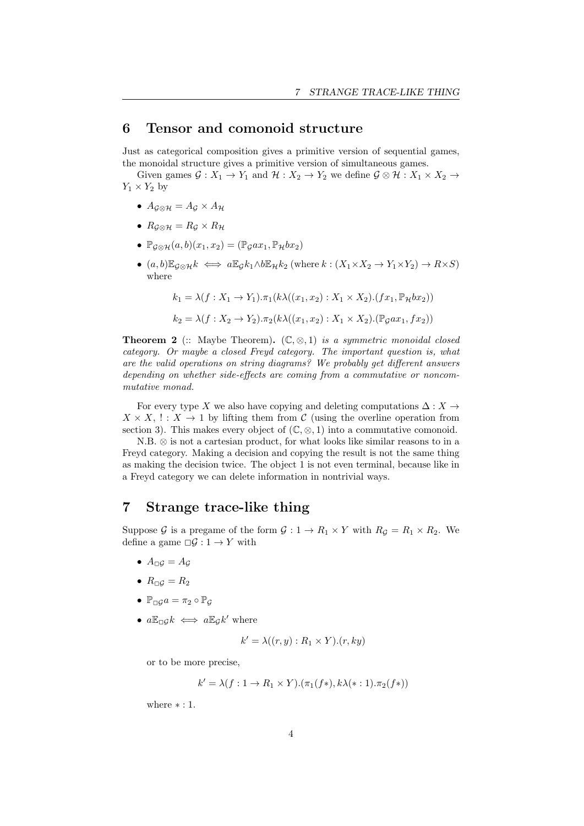#### 6 Tensor and comonoid structure

Just as categorical composition gives a primitive version of sequential games, the monoidal structure gives a primitive version of simultaneous games.

Given games  $\mathcal{G}: X_1 \to Y_1$  and  $\mathcal{H}: X_2 \to Y_2$  we define  $\mathcal{G} \otimes \mathcal{H}: X_1 \times X_2 \to Y_2$  $Y_1 \times Y_2$  by

- $A_{\mathcal{G}\otimes\mathcal{H}}=A_{\mathcal{G}}\times A_{\mathcal{H}}$
- $R_{\mathcal{G}\otimes\mathcal{H}}=R_{\mathcal{G}}\times R_{\mathcal{H}}$
- $\mathbb{P}_{\mathcal{G}\otimes\mathcal{H}}(a,b)(x_1,x_2)=(\mathbb{P}_{\mathcal{G}}ax_1,\mathbb{P}_{\mathcal{H}}bx_2)$
- $(a, b) \mathbb{E}_{\mathcal{G} \otimes \mathcal{H}} k \iff a \mathbb{E}_{\mathcal{G}} k_1 \wedge b \mathbb{E}_{\mathcal{H}} k_2$  (where  $k : (X_1 \times X_2 \to Y_1 \times Y_2) \to R \times S$ ) where

$$
k_1 = \lambda(f: X_1 \to Y_1). \pi_1(k\lambda((x_1, x_2): X_1 \times X_2). (fx_1, \mathbb{P}_H bx_2))
$$
  

$$
k_2 = \lambda(f: X_2 \to Y_2). \pi_2(k\lambda((x_1, x_2): X_1 \times X_2). (\mathbb{P}_G ax_1, fx_2))
$$

**Theorem 2** (:: Maybe Theorem).  $(\mathbb{C}, \otimes, 1)$  is a symmetric monoidal closed category. Or maybe a closed Freyd category. The important question is, what are the valid operations on string diagrams? We probably get different answers depending on whether side-effects are coming from a commutative or noncommutative monad.

For every type X we also have copying and deleting computations  $\Delta: X \to$  $X \times X$ , !:  $X \to 1$  by lifting them from C (using the overline operation from section 3). This makes every object of  $(\mathbb{C}, \otimes, 1)$  into a commutative comonoid.

N.B. ⊗ is not a cartesian product, for what looks like similar reasons to in a Freyd category. Making a decision and copying the result is not the same thing as making the decision twice. The object 1 is not even terminal, because like in a Freyd category we can delete information in nontrivial ways.

## 7 Strange trace-like thing

Suppose G is a pregame of the form  $G: 1 \to R_1 \times Y$  with  $R_G = R_1 \times R_2$ . We define a game  $\Box \mathcal{G} : 1 \rightarrow Y$  with

- $A_{\square G} = A_G$
- $R_{\square}G = R_2$
- $\mathbb{P}_{\Box G}a = \pi_2 \circ \mathbb{P}_G$
- $a\mathbb{E}_{\Box} g k \iff a\mathbb{E}_{\mathcal{G}} k'$  where

$$
k' = \lambda((r, y) : R_1 \times Y).(r, ky)
$$

or to be more precise,

$$
k' = \lambda(f: 1 \to R_1 \times Y).(\pi_1(f*), k\lambda(*:1).\pi_2(f*))
$$

where  $* : 1$ .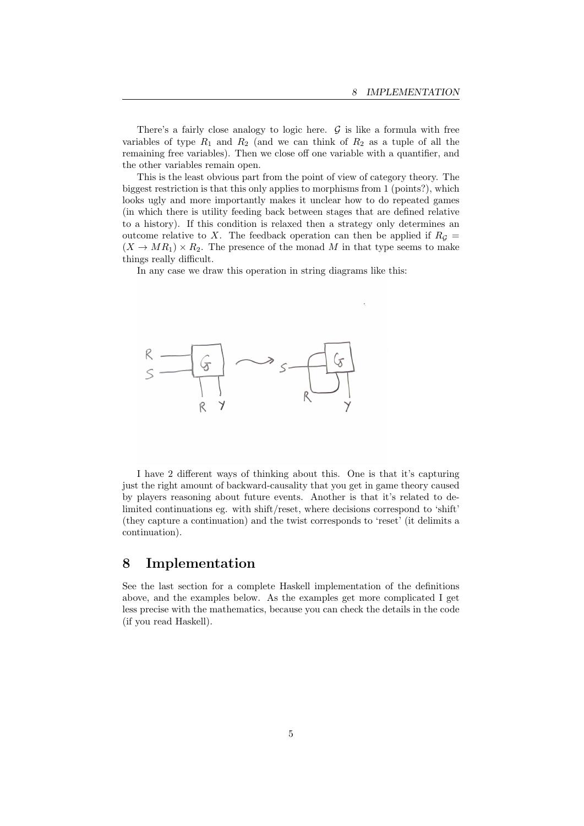There's a fairly close analogy to logic here.  $G$  is like a formula with free variables of type  $R_1$  and  $R_2$  (and we can think of  $R_2$  as a tuple of all the remaining free variables). Then we close off one variable with a quantifier, and the other variables remain open.

This is the least obvious part from the point of view of category theory. The biggest restriction is that this only applies to morphisms from 1 (points?), which looks ugly and more importantly makes it unclear how to do repeated games (in which there is utility feeding back between stages that are defined relative to a history). If this condition is relaxed then a strategy only determines an outcome relative to X. The feedback operation can then be applied if  $R<sub>G</sub>$  =  $(X \to MR_1) \times R_2$ . The presence of the monad M in that type seems to make things really difficult.

In any case we draw this operation in string diagrams like this:



I have 2 different ways of thinking about this. One is that it's capturing just the right amount of backward-causality that you get in game theory caused by players reasoning about future events. Another is that it's related to delimited continuations eg. with shift/reset, where decisions correspond to 'shift' (they capture a continuation) and the twist corresponds to 'reset' (it delimits a continuation).

#### 8 Implementation

See the last section for a complete Haskell implementation of the definitions above, and the examples below. As the examples get more complicated I get less precise with the mathematics, because you can check the details in the code (if you read Haskell).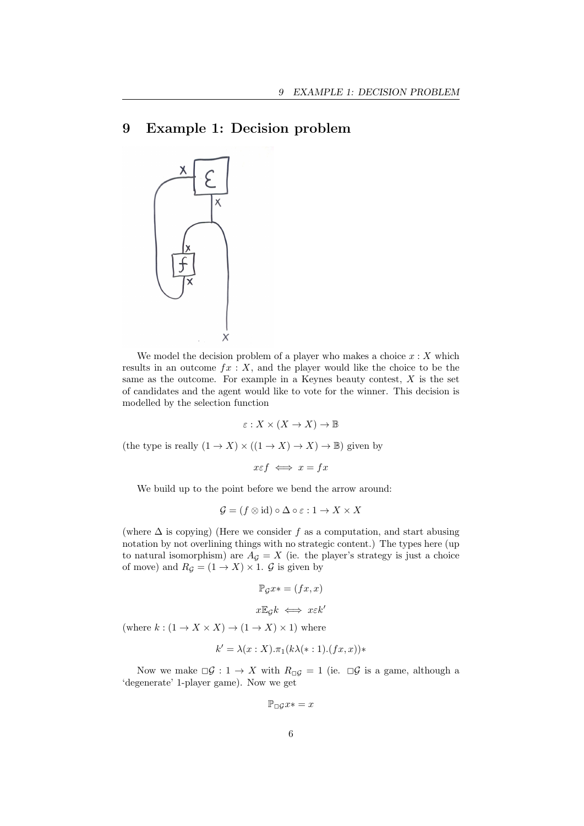## 9 Example 1: Decision problem



We model the decision problem of a player who makes a choice  $x : X$  which results in an outcome  $fx: X$ , and the player would like the choice to be the same as the outcome. For example in a Keynes beauty contest,  $X$  is the set of candidates and the agent would like to vote for the winner. This decision is modelled by the selection function

$$
\varepsilon: X \times (X \to X) \to \mathbb{B}
$$

(the type is really  $(1 \rightarrow X) \times ((1 \rightarrow X) \rightarrow X) \rightarrow \mathbb{B})$  given by

$$
x \varepsilon f \iff x = fx
$$

We build up to the point before we bend the arrow around:

$$
\mathcal{G} = (f \otimes id) \circ \Delta \circ \varepsilon : 1 \to X \times X
$$

(where  $\Delta$  is copying) (Here we consider f as a computation, and start abusing notation by not overlining things with no strategic content.) The types here (up to natural isomorphism) are  $A_{\mathcal{G}} = X$  (ie. the player's strategy is just a choice of move) and  $R_{\mathcal{G}} = (1 \rightarrow X) \times 1$ .  $\mathcal{G}$  is given by

$$
\mathbb{P}_{\mathcal{G}} x* = (fx, x)
$$

$$
x \mathbb{E}_{\mathcal{G}} k \iff x \varepsilon k'
$$

(where  $k : (1 \to X \times X) \to (1 \to X) \times 1$ ) where

$$
k' = \lambda(x:X).\pi_1(k\lambda(*:1).(fx,x))*
$$

Now we make  $\Box G : 1 \to X$  with  $R_{\Box G} = 1$  (ie.  $\Box G$  is a game, although a 'degenerate' 1-player game). Now we get

 $\mathbb{P}_{\square}ax* = x$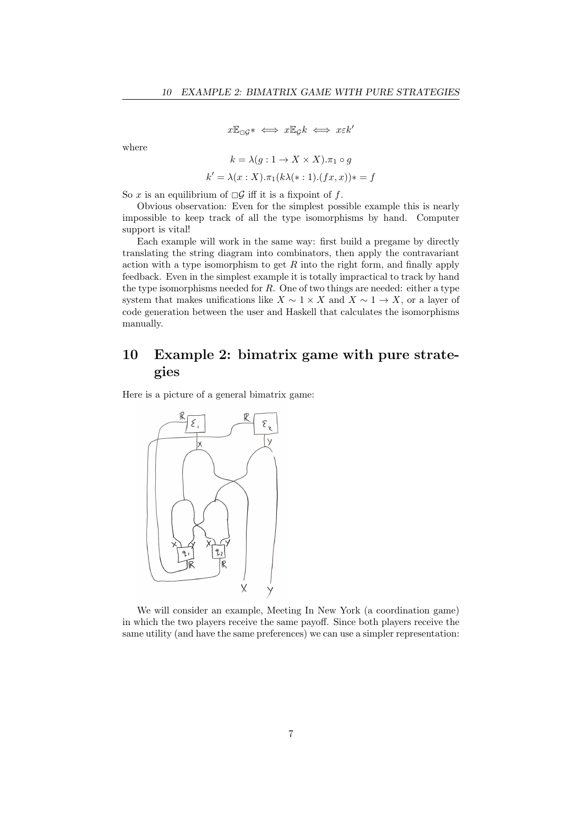$$
x\mathbb{E}_{\Box}g^* \iff x\mathbb{E}_gk \iff x\epsilon k'
$$

where

$$
k = \lambda(g: 1 \to X \times X).\pi_1 \circ g
$$
  

$$
k' = \lambda(x: X).\pi_1(k\lambda(*:1).(fx, x))* = f
$$

So x is an equilibrium of  $\Box \mathcal{G}$  iff it is a fixpoint of f.

Obvious observation: Even for the simplest possible example this is nearly impossible to keep track of all the type isomorphisms by hand. Computer support is vital!

Each example will work in the same way: first build a pregame by directly translating the string diagram into combinators, then apply the contravariant action with a type isomorphism to get  $R$  into the right form, and finally apply feedback. Even in the simplest example it is totally impractical to track by hand the type isomorphisms needed for  $R$ . One of two things are needed: either a type system that makes unifications like  $X \sim 1 \times X$  and  $X \sim 1 \to X$ , or a layer of code generation between the user and Haskell that calculates the isomorphisms manually.

## 10 Example 2: bimatrix game with pure strategies

Here is a picture of a general bimatrix game:



We will consider an example, Meeting In New York (a coordination game) in which the two players receive the same payoff. Since both players receive the same utility (and have the same preferences) we can use a simpler representation: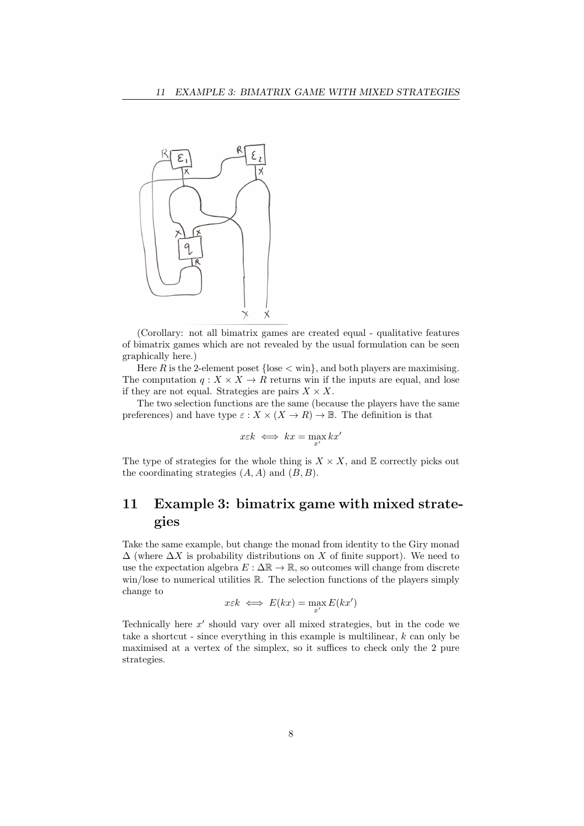

(Corollary: not all bimatrix games are created equal - qualitative features of bimatrix games which are not revealed by the usual formulation can be seen graphically here.)

Here R is the 2-element poset  $\{\text{lose} < \text{win}\},\$  and both players are maximising. The computation  $q: X \times X \to R$  returns win if the inputs are equal, and lose if they are not equal. Strategies are pairs  $X \times X$ .

The two selection functions are the same (because the players have the same preferences) and have type  $\varepsilon : X \times (X \to R) \to \mathbb{B}$ . The definition is that

$$
x \varepsilon k \iff kx = \max_{x'} kx'
$$

The type of strategies for the whole thing is  $X \times X$ , and  $E$  correctly picks out the coordinating strategies  $(A, A)$  and  $(B, B)$ .

# 11 Example 3: bimatrix game with mixed strategies

Take the same example, but change the monad from identity to the Giry monad  $\Delta$  (where  $\Delta X$  is probability distributions on X of finite support). We need to use the expectation algebra  $E : \Delta \mathbb{R} \to \mathbb{R}$ , so outcomes will change from discrete win/lose to numerical utilities  $\mathbb R$ . The selection functions of the players simply change to

$$
x \in k \iff E(kx) = \max_{x'} E(kx')
$$

Technically here  $x'$  should vary over all mixed strategies, but in the code we take a shortcut - since everything in this example is multilinear,  $k$  can only be maximised at a vertex of the simplex, so it suffices to check only the 2 pure strategies.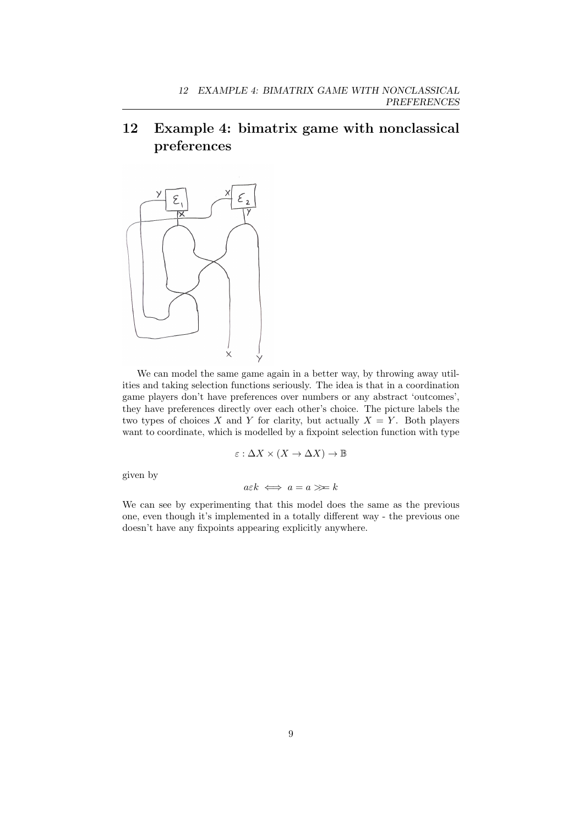# 12 Example 4: bimatrix game with nonclassical preferences



We can model the same game again in a better way, by throwing away utilities and taking selection functions seriously. The idea is that in a coordination game players don't have preferences over numbers or any abstract 'outcomes', they have preferences directly over each other's choice. The picture labels the two types of choices X and Y for clarity, but actually  $X = Y$ . Both players want to coordinate, which is modelled by a fixpoint selection function with type

$$
\varepsilon: \Delta X \times (X \to \Delta X) \to \mathbb{B}
$$

given by

$$
a \varepsilon k \iff a = a \ggg k
$$

We can see by experimenting that this model does the same as the previous one, even though it's implemented in a totally different way - the previous one doesn't have any fixpoints appearing explicitly anywhere.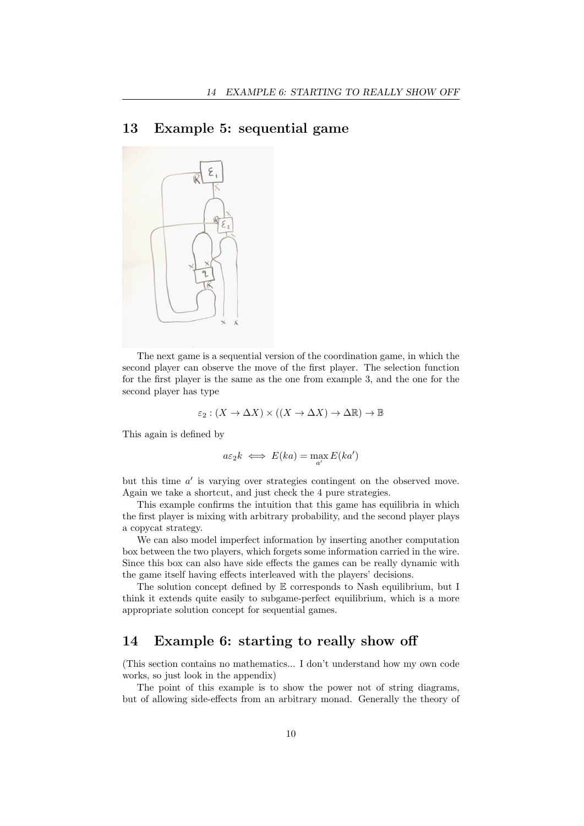### 13 Example 5: sequential game



The next game is a sequential version of the coordination game, in which the second player can observe the move of the first player. The selection function for the first player is the same as the one from example 3, and the one for the second player has type

$$
\varepsilon_2 : (X \to \Delta X) \times ((X \to \Delta X) \to \Delta \mathbb{R}) \to \mathbb{B}
$$

This again is defined by

$$
a\varepsilon_2 k \iff E(ka) = \max_{a'} E(ka')
$$

but this time  $a'$  is varying over strategies contingent on the observed move. Again we take a shortcut, and just check the 4 pure strategies.

This example confirms the intuition that this game has equilibria in which the first player is mixing with arbitrary probability, and the second player plays a copycat strategy.

We can also model imperfect information by inserting another computation box between the two players, which forgets some information carried in the wire. Since this box can also have side effects the games can be really dynamic with the game itself having effects interleaved with the players' decisions.

The solution concept defined by E corresponds to Nash equilibrium, but I think it extends quite easily to subgame-perfect equilibrium, which is a more appropriate solution concept for sequential games.

#### 14 Example 6: starting to really show off

(This section contains no mathematics... I don't understand how my own code works, so just look in the appendix)

The point of this example is to show the power not of string diagrams, but of allowing side-effects from an arbitrary monad. Generally the theory of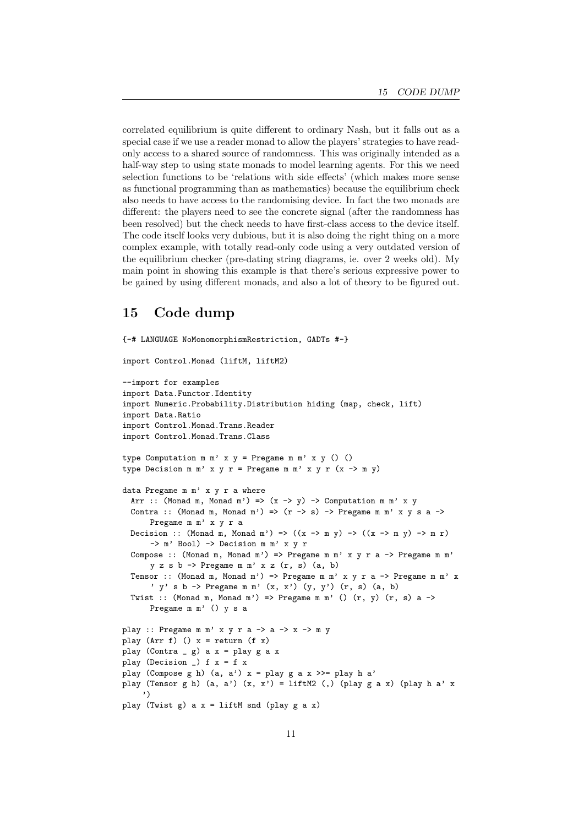correlated equilibrium is quite different to ordinary Nash, but it falls out as a special case if we use a reader monad to allow the players' strategies to have readonly access to a shared source of randomness. This was originally intended as a half-way step to using state monads to model learning agents. For this we need selection functions to be 'relations with side effects' (which makes more sense as functional programming than as mathematics) because the equilibrium check also needs to have access to the randomising device. In fact the two monads are different: the players need to see the concrete signal (after the randomness has been resolved) but the check needs to have first-class access to the device itself. The code itself looks very dubious, but it is also doing the right thing on a more complex example, with totally read-only code using a very outdated version of the equilibrium checker (pre-dating string diagrams, ie. over 2 weeks old). My main point in showing this example is that there's serious expressive power to be gained by using different monads, and also a lot of theory to be figured out.

#### 15 Code dump

{-# LANGUAGE NoMonomorphismRestriction, GADTs #-}

```
import Control.Monad (liftM, liftM2)
--import for examples
import Data.Functor.Identity
import Numeric.Probability.Distribution hiding (map, check, lift)
import Data.Ratio
import Control.Monad.Trans.Reader
import Control.Monad.Trans.Class
type Computation m m' x y = Pregame m m' x y () ()
type Decision m m' x y r = Pregame m m' x y r (x \rightarrow m y)data Pregame m m' x y r a where
  Arr :: (Monad m, Monad m') => (x \rightarrow y) -> Computation m m' x y
  Contra :: (Monad m, Monad m') => (r \rightarrow s) -> Pregame m m' x y s a ->
      Pregame m m' x y r a
  Decision :: (Monad m, Monad m') => ((x \rightarrow m y) \rightarrow ((x \rightarrow m y) \rightarrow m r)-> m' Bool) -> Decision m m' x y r
  Compose :: (Monad m, Monad m') => Pregame m m' x y r a -> Pregame m m'
      y z s b \rightarrow Pregame m m' x z (r, s) (a, b)
  Tensor :: (Monad m, Monad m') => Pregame m m' x y r a -> Pregame m m' x
      ' y' s b \rightarrow Pregame m m' (x, x') (y, y') (r, s) (a, b)Twist :: (Monad m, Monad m') => Pregame m m' () (r, v) (r, s) a ->
      Pregame m m' () y s a
play :: Pregame m m' x y r a \rightarrow a \rightarrow x \rightarrow m y
play (Arr f) () x = return (f x)play (Contra -g) a x = play g a xplay (Decision _) f x = f xplay (Compose g h) (a, a') x = play g a x >>= play h a'
play (Tensor g h) (a, a') (x, x') = liftM2 (,) (play g a x) (play h a' x
     ')
play (Twist g) a x = liftM snd (play g a x)
```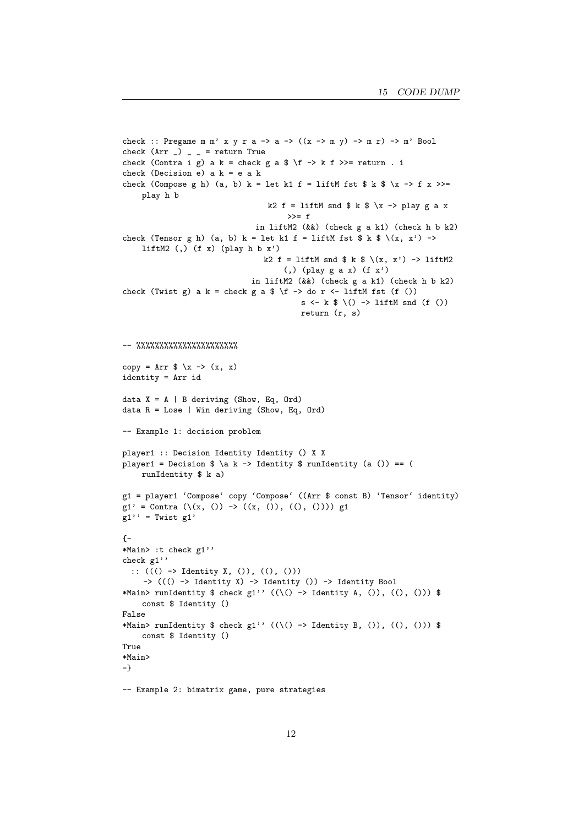```
check :: Pregame m m' x y r a -> a -> ((x \rightarrow m y) -> m r) -> m' Bool
check (Arr) = = return True
check (Contra i g) a k = check g a \ f -> k f >>= return . i
check (Decision e) a k = e a k
check (Compose g h) (a, b) k = let k1 f = liftM fst \frac{1}{2} k \frac{1}{2} \x -> f x >>=
    play h b
                                   k2 f = liftM snd \frac{1}{2} k \frac{1}{2} \x -> play g a x
                                        >>= f
                                in liftM2 (&&) (check g a k1) (check h b k2)
check (Tensor g h) (a, b) k = let k1 f = liftM fst $ k $ \langle x, x' \rangle ->
    liftM2 (,) (f x) (play h b x')k2 f = liftM snd \frac{1}{2} k \frac{1}{2} \(x, x') -> liftM2
                                       (,) (play g a x) (f x')
                               in liftM2 (&&) (check g a k1) (check h b k2)
check (Twist g) a k = check g a f \ f \to do r \ f liftM fst (f ())
                                           s \leftarrow k \left(\right) \rightarrow liftM snd (f ())
                                           return (r, s)
-- %%%%%%%%%%%%%%%%%%%%%%
copy = Arr x \rightarrow (x, x)identity = Arr id
data X = A \mid B deriving (Show, Eq, Ord)
data R = Lose | Win deriving (Show, Eq, Ord)
-- Example 1: decision problem
player1 :: Decision Identity Identity () X X
player1 = Decision \alpha k \rightarrow Identity \alpha runIdentity (a ()) == (
    runIdentity $ k a)
g1 = player1 'Compose' copy 'Compose' ((Arr $ const B) 'Tensor' identity)
g1' = Contra (\{(x, 0) \rightarrow ((x, 0), (0), (0)))) g1
g1'' = Twist g1'{-
*Main> :t check g1''
check g1''
 :: ((() -> Identity X, ()), ((), ()))
    -> ((() -> Identity X) -> Identity ()) -> Identity Bool
*Main> runIdentity $ check g1'' ((\langle) \rangle \rightarrow Identity A, ()), ((), ())) $
    const $ Identity ()
False
*Main> runIdentity $ check g1'' ((\{()\rightarrow\} Identity B, ()), ((), ())) $
    const $ Identity ()
True
*Main>
-}
-- Example 2: bimatrix game, pure strategies
```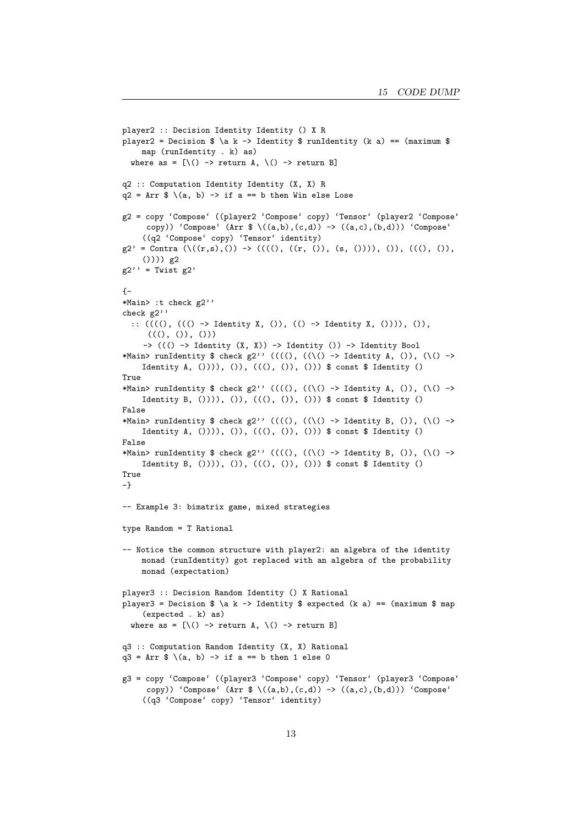```
player2 :: Decision Identity Identity () X R
player2 = Decision \alpha \ge 1 dentity \alpha runIdentity (k a) == (maximum \alphamap (runIdentity . k) as)
  where as = [\n\(\) \rightarrow return A, \(\) \rightarrow return B]
q2 :: Computation Identity Identity (X, X) R
q2 = Arr \sqrt[6]{(a, b)} -> if a == b then Win else Lose
g2 = copy 'Compose' ((player2 'Compose' copy) 'Tensor' (player2 'Compose'
     copy)) 'Compose' (Arr \{\ (a,b),(c,d)\ \rightarrow\ ((a,c),(b,d))) 'Compose'
    ((q2 'Compose' copy) 'Tensor' identity)
g2' = Contra (\{((r,s),()) \rightarrow ((((r, ()), (s, ())))), ()), (((), ()),()))) g2
g2'' = Twist g2'{-
*Main> :t check g2''
check g2''
  :: ((((), ((() -> Identity X, ()), (() -> Identity X, ()))), ()),
      ((() , ()), ()\rightarrow ((() \rightarrow Identity (X, X)) \rightarrow Identity ()) \rightarrow Identity Bool
*Main> runIdentity $ check g2'' (((() , ((\langle \rangle \rightarrow Identity A, ()), (\langle \rangle \rightarrowIdentity A, ()))), ()), (((), ()), ())) $ const $ Identity ()
True
*Main> runIdentity $ check g2'' ((((), ((\) -> Identity A, ()), (\() ->
    Identity B, ()))), ()), (((), ()), ())) $ const $ Identity ()
False
*Main> runIdentity $ check g2'' ((((), ((\) -> Identity B, ()), (\() ->
    Identity A, (b) ), (b), (((), ()), ()) ) \$ const \$ Identity ()False
*Main> runIdentity $ check g2'' ((((), ((\() -> Identity B, ()), (\() ->
    Identity B, (b) ), (b), (((), ()), ()) ) \$ const \$ Identity ()True
-}
-- Example 3: bimatrix game, mixed strategies
type Random = T Rational
-- Notice the common structure with player2: an algebra of the identity
    monad (runIdentity) got replaced with an algebra of the probability
    monad (expectation)
player3 :: Decision Random Identity () X Rational
player3 = Decision \alpha \a k -> Identity $ expected (k a) == (maximum $ map
    (expected . k) as)
  where as = [\n\(\) \rightarrow return A, \(\) \rightarrow return B]
q3 :: Computation Random Identity (X, X) Rational
q3 = Arr \sqrt{s} \(a, b) -> if a == b then 1 else 0
g3 = copy 'Compose' ((player3 'Compose' copy) 'Tensor' (player3 'Compose'
     copy)) 'Compose' (\text{Arr } $ \setminus ((a,b), (c,d)) \rightarrow ((a,c), (b,d))) 'Compose'
    ((q3 'Compose' copy) 'Tensor' identity)
```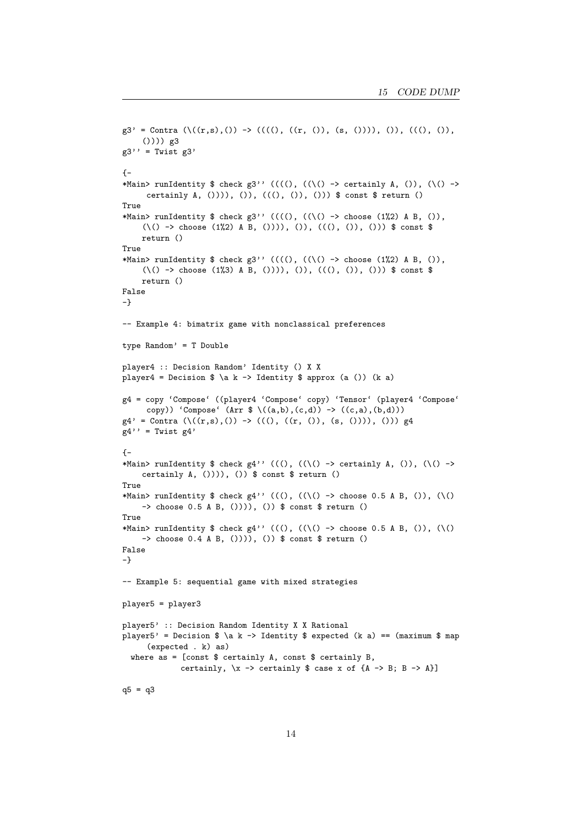```
g3' = Contra (\{((r,s),()) \rightarrow (((((), ((r, )), (s, ))))), ()), (((), ()),()))) g3
g3'' = Twist g3'\left\{ -\right.*Main> runIdentity $ check g3'' ((((), ((\() -> certainly A, ()), (\() ->
     certainly A, ()))), ()), (((), ()), ())) $ const $ return ()
True
*Main> runIdentity $ check g3'' ((((), ((\() -> choose (1%2) A B, ()),
     (\{()\rightarrow\} choose (1\%) A B, ()))), ()), (((), ()), ())) $ const $
    return ()
True
*Main> runIdentity $ check g3'' ((((), ((\() -> choose (1%2) A B, ()),
     (\{()\rightarrow\} choose (1\%) A B, ())), ()), (((),()), ()) $ const $
     return ()
False
-}
-- Example 4: bimatrix game with nonclassical preferences
type Random' = T Double
player4 :: Decision Random' Identity () X X
player4 = Decision \alpha \a k -> Identity \alpha approx (a ()) (k a)
g4 = copy 'Compose' ((player4 'Compose' copy) 'Tensor' (player4 'Compose'
     copy)) 'Compose' (\text{Arr } $ \setminus ((a,b),(c,d)) \rightarrow ((c,a),(b,d)))g4' = Contra (\{(r,s),()) \rightarrow (((), ((r, 0), (s, 0)))), ())) g4g4'' = Twist g4'{-
*Main> runIdentity $ check g4'' (((), ((\setminus) -> certainly A, ()), (\setminus) ->
    certainly A, ()))), ()) $ const $ return ()
True
*Main> runIdentity $ check g4'' (((), ((\setminus) -> choose 0.5 A B, ()), (\setminus)-> choose 0.5 A B, ()))), ()) $ const $ return ()
True
*Main> runIdentity $ check g4'' (((), (\langle \setminus \rangle \rightarrow choose 0.5 A B, ()), (\setminus \setminus \rangle-> choose 0.4 A B, ()))), ()) $ const $ return ()
False
-}
-- Example 5: sequential game with mixed strategies
player5 = player3
player5' :: Decision Random Identity X X Rational
player5' = Decision \alpha k \to \Delta k -> Identity \alpha k expected (k a) == (maximum \alpha map
      (expected . k) as)
  where as = [const $ certainly A, const $ certainly B, ]certainly, \x \rightarrow certainly $ case x of {A -> B; B -> A}]
q5 = q3
```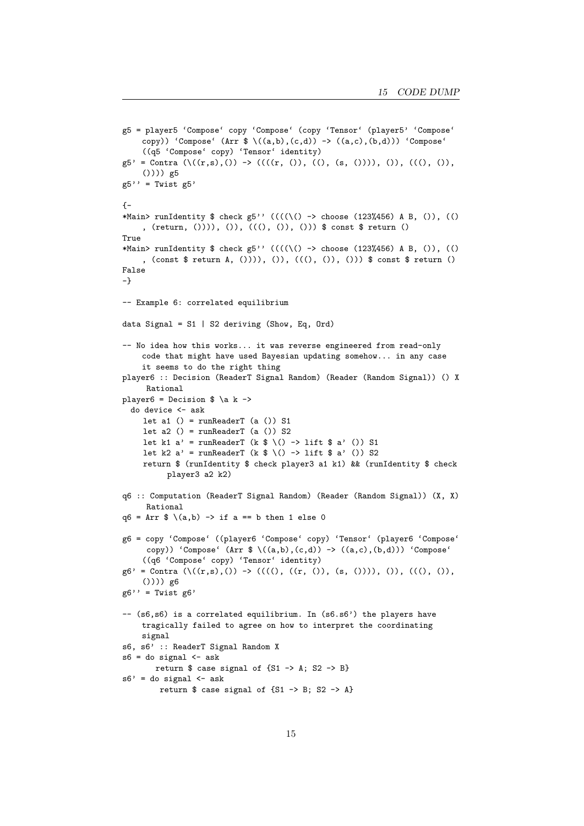```
g5 = player5 'Compose' copy 'Compose' (copy 'Tensor' (player5' 'Compose'
    copy)) 'Compose' (Arr \{\{(a,b),(c,d))\rightarrow((a,c),(b,d))\} 'Compose'
    ((q5 'Compose' copy) 'Tensor' identity)
g5' = Contra (\{(r,s),()) \rightarrow ((((r, ()), ((), (s, ()))), ()), (((), ()),()))) g5
g5'' = Twist g5'\left\{ -\right.*Main> runIdentity $ check g5'' (((\{()\}) -> choose (123%456) A B, ()), (()
    , (return, ()))), ()), (((), ()), ())) $ const $ return ()
True
*Main> runIdentity $ check g5'' ((((\() -> choose (123%456) A B, ()), (()
     , (const $ return A, ()))), ()), (((), ()), ())) $ const $ return ()
False
-}
-- Example 6: correlated equilibrium
data Signal = S1 | S2 deriving (Show, Eq, Ord)
-- No idea how this works... it was reverse engineered from read-only
    code that might have used Bayesian updating somehow... in any case
    it seems to do the right thing
player6 :: Decision (ReaderT Signal Random) (Reader (Random Signal)) () X
     Rational
player6 = Decision \alpha \a k ->
  do device <- ask
    let a1 () = runReaderT (a () S1
     let a2() = runReaderT (a()) S2
     let k1 a' = runReaderT (k \frac{1}{2} \() -> lift \frac{1}{2} a' ()) S1
     let k2 a' = runReaderT (k \frac{1}{2} \() -> lift \frac{1}{2} a' ()) S2
     return $ (runIdentity $ check player3 a1 k1) && (runIdentity $ check
          player3 a2 k2)
q6 :: Computation (ReaderT Signal Random) (Reader (Random Signal)) (X, X)
     Rational
q6 = Arr $ \{(a,b) \rightarrow if a == b then 1 else 0g6 = copy 'Compose' ((player6 'Compose' copy) 'Tensor' (player6 'Compose'
     copy)) 'Compose' (\text{Arr } $(\lambda, b), (c, d)) \rightarrow ((a, c), (b, d))'Compose'
     ((q6 'Compose' copy) 'Tensor' identity)
g6' = Contra (\{(r,s),()) \rightarrow ((((r, (r, ()), (s, ())))), ()), (((), ()),()))) g6
g6'' = Twist g6'
-- (s6,s6) is a correlated equilibrium. In (s6.s6') the players have
    tragically failed to agree on how to interpret the coordinating
    signal
s6, s6' :: ReaderT Signal Random X
s6 = do signal < -askreturn $ case signal of {S1 \rightarrow A; S2 \rightarrow B}s6' = do signal \leq ask
        return $ case signal of {S1 \rightarrow B; S2 \rightarrow A}
```